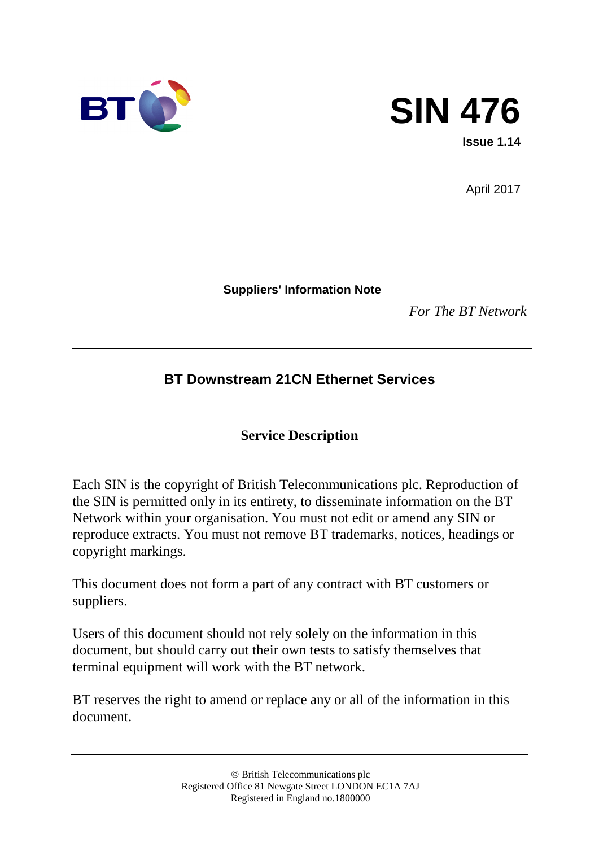



April 2017

**Suppliers' Information Note**

*For The BT Network*

## **BT Downstream 21CN Ethernet Services**

### **Service Description**

Each SIN is the copyright of British Telecommunications plc. Reproduction of the SIN is permitted only in its entirety, to disseminate information on the BT Network within your organisation. You must not edit or amend any SIN or reproduce extracts. You must not remove BT trademarks, notices, headings or copyright markings.

This document does not form a part of any contract with BT customers or suppliers.

Users of this document should not rely solely on the information in this document, but should carry out their own tests to satisfy themselves that terminal equipment will work with the BT network.

BT reserves the right to amend or replace any or all of the information in this document.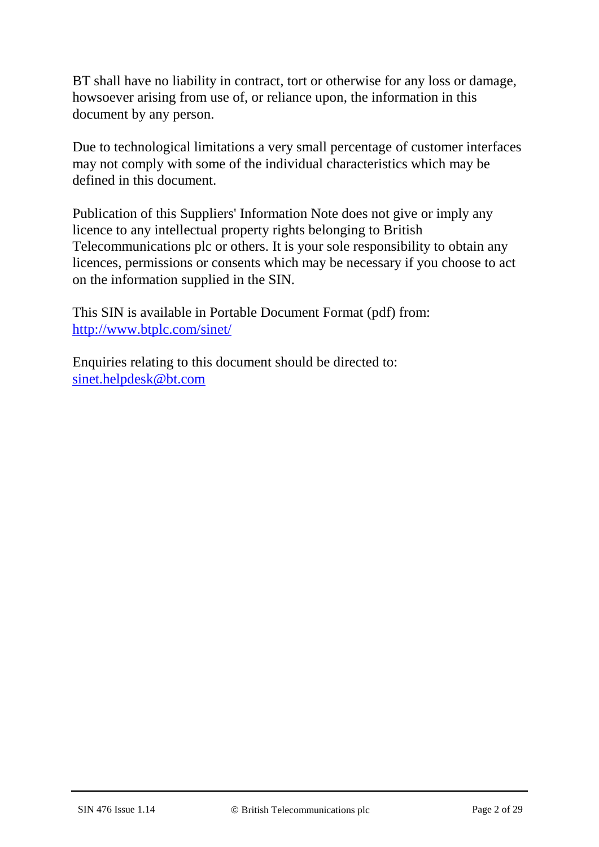BT shall have no liability in contract, tort or otherwise for any loss or damage, howsoever arising from use of, or reliance upon, the information in this document by any person.

Due to technological limitations a very small percentage of customer interfaces may not comply with some of the individual characteristics which may be defined in this document.

Publication of this Suppliers' Information Note does not give or imply any licence to any intellectual property rights belonging to British Telecommunications plc or others. It is your sole responsibility to obtain any licences, permissions or consents which may be necessary if you choose to act on the information supplied in the SIN.

This SIN is available in Portable Document Format (pdf) from: <http://www.btplc.com/sinet/>

Enquiries relating to this document should be directed to: [sinet.helpdesk@bt.com](mailto:sinet.helpdesk@bt.com)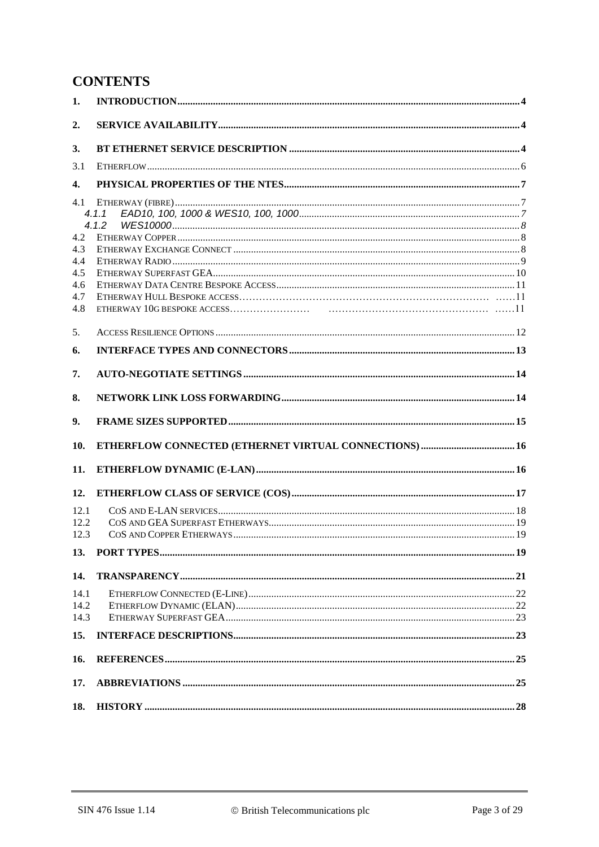### **CONTENTS**

| 1.           |                |  |
|--------------|----------------|--|
| 2.           |                |  |
| 3.           |                |  |
| 3.1          |                |  |
| 4.           |                |  |
| 4.1          | 4.1.1<br>4.1.2 |  |
| 4.2<br>4.3   |                |  |
| 4.4          |                |  |
| 4.5<br>4.6   |                |  |
| 4.7          |                |  |
| 4.8          |                |  |
| 5.           |                |  |
| 6.           |                |  |
| 7.           |                |  |
| 8.           |                |  |
| 9.           |                |  |
| 10.          |                |  |
| 11.          |                |  |
| 12.          |                |  |
| 12.1         |                |  |
| 12.2         |                |  |
| 12.3         |                |  |
| 13.          |                |  |
| 14.          |                |  |
| 14.1         |                |  |
| 14.2<br>14.3 |                |  |
| 15.          |                |  |
|              |                |  |
| 16.          |                |  |
| 17.          |                |  |
|              |                |  |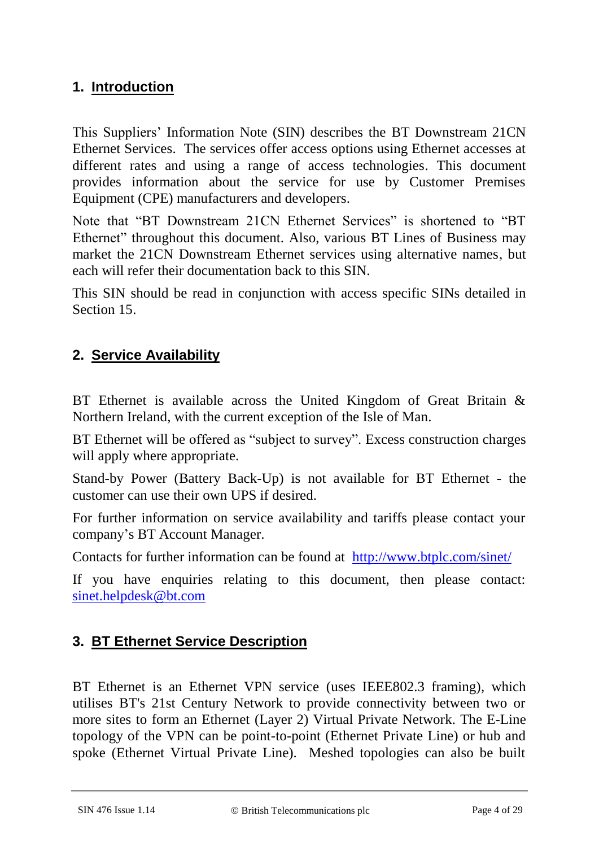## **1. Introduction**

This Suppliers' Information Note (SIN) describes the BT Downstream 21CN Ethernet Services. The services offer access options using Ethernet accesses at different rates and using a range of access technologies. This document provides information about the service for use by Customer Premises Equipment (CPE) manufacturers and developers.

Note that "BT Downstream 21CN Ethernet Services" is shortened to "BT Ethernet" throughout this document. Also, various BT Lines of Business may market the 21CN Downstream Ethernet services using alternative names, but each will refer their documentation back to this SIN.

This SIN should be read in conjunction with access specific SINs detailed in Section 15.

## **2. Service Availability**

BT Ethernet is available across the United Kingdom of Great Britain & Northern Ireland, with the current exception of the Isle of Man.

BT Ethernet will be offered as "subject to survey". Excess construction charges will apply where appropriate.

Stand-by Power (Battery Back-Up) is not available for BT Ethernet - the customer can use their own UPS if desired.

For further information on service availability and tariffs please contact your company's BT Account Manager.

Contacts for further information can be found at <http://www.btplc.com/sinet/>

If you have enquiries relating to this document, then please contact: [sinet.helpdesk@bt.com](mailto:sinet.helpdesk@bt.com)

## **3. BT Ethernet Service Description**

BT Ethernet is an Ethernet VPN service (uses IEEE802.3 framing), which utilises BT's 21st Century Network to provide connectivity between two or more sites to form an Ethernet (Layer 2) Virtual Private Network. The E-Line topology of the VPN can be point-to-point (Ethernet Private Line) or hub and spoke (Ethernet Virtual Private Line). Meshed topologies can also be built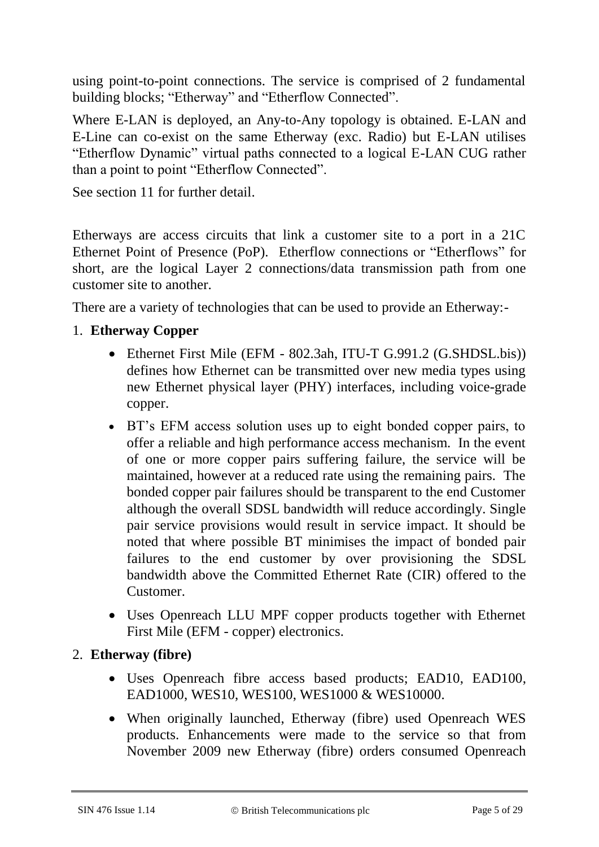using point-to-point connections. The service is comprised of 2 fundamental building blocks; "Etherway" and "Etherflow Connected".

Where E-LAN is deployed, an Any-to-Any topology is obtained. E-LAN and E-Line can co-exist on the same Etherway (exc. Radio) but E-LAN utilises "Etherflow Dynamic" virtual paths connected to a logical E-LAN CUG rather than a point to point "Etherflow Connected".

See section 11 for further detail.

Etherways are access circuits that link a customer site to a port in a 21C Ethernet Point of Presence (PoP). Etherflow connections or "Etherflows" for short, are the logical Layer 2 connections/data transmission path from one customer site to another.

There are a variety of technologies that can be used to provide an Etherway:-

- 1. **Etherway Copper**
	- Ethernet First Mile (EFM 802.3ah, ITU-T G.991.2 (G.SHDSL.bis)) defines how Ethernet can be transmitted over new media types using new [Ethernet physical layer](http://en.wikipedia.org/wiki/Ethernet_physical_layer) [\(PHY\)](http://en.wikipedia.org/wiki/PHY) interfaces, including [voice-grade](http://en.wikipedia.org/wiki/Voice-grade_copper)  [copper.](http://en.wikipedia.org/wiki/Voice-grade_copper)
	- BT's EFM access solution uses up to eight bonded copper pairs, to offer a reliable and high performance access mechanism. In the event of one or more copper pairs suffering failure, the service will be maintained, however at a reduced rate using the remaining pairs. The bonded copper pair failures should be transparent to the end Customer although the overall SDSL bandwidth will reduce accordingly. Single pair service provisions would result in service impact. It should be noted that where possible BT minimises the impact of bonded pair failures to the end customer by over provisioning the SDSL bandwidth above the Committed Ethernet Rate (CIR) offered to the Customer.
	- Uses Openreach LLU MPF copper products together with Ethernet First Mile (EFM - copper) electronics.

#### 2. **Etherway (fibre)**

- Uses Openreach fibre access based products; EAD10, EAD100, EAD1000, WES10, WES100, WES1000 & WES10000.
- When originally launched, Etherway (fibre) used Openreach WES products. Enhancements were made to the service so that from November 2009 new Etherway (fibre) orders consumed Openreach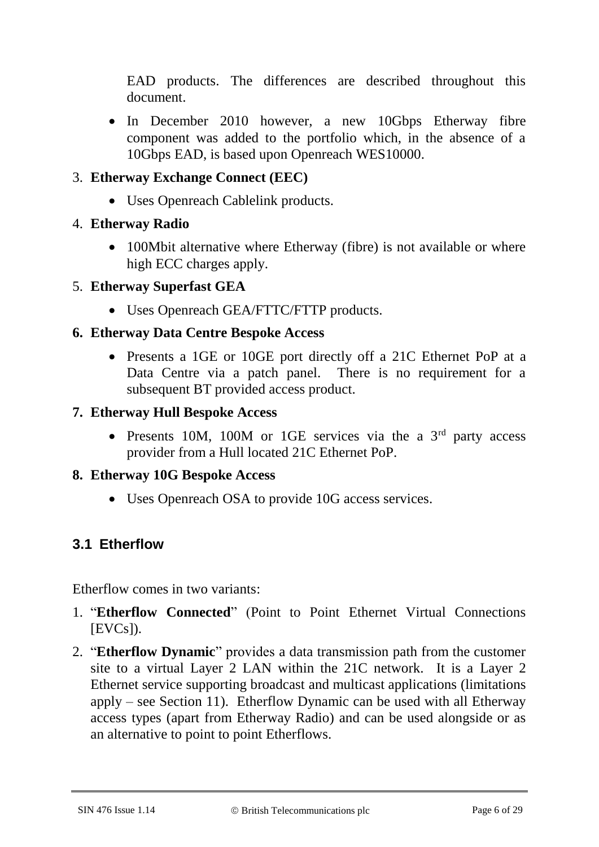EAD products. The differences are described throughout this document.

• In December 2010 however, a new 10Gbps Etherway fibre component was added to the portfolio which, in the absence of a 10Gbps EAD, is based upon Openreach WES10000.

### 3. **Etherway Exchange Connect (EEC)**

• Uses Openreach Cablelink products.

### 4. **Etherway Radio**

• 100Mbit alternative where Etherway (fibre) is not available or where high ECC charges apply.

### 5. **Etherway Superfast GEA**

Uses Openreach GEA/FTTC/FTTP products.

#### **6. Etherway Data Centre Bespoke Access**

• Presents a 1GE or 10GE port directly off a 21C Ethernet PoP at a Data Centre via a patch panel. There is no requirement for a subsequent BT provided access product.

#### **7. Etherway Hull Bespoke Access**

• Presents 10M, 100M or 1GE services via the a  $3<sup>rd</sup>$  party access provider from a Hull located 21C Ethernet PoP.

#### **8. Etherway 10G Bespoke Access**

Uses Openreach OSA to provide 10G access services.

## **3.1 Etherflow**

Etherflow comes in two variants:

- 1. "**Etherflow Connected**" (Point to Point Ethernet Virtual Connections  $[EVCs]$ ).
- 2. "**Etherflow Dynamic**" provides a data transmission path from the customer site to a virtual Layer 2 LAN within the 21C network. It is a Layer 2 Ethernet service supporting broadcast and multicast applications (limitations apply – see Section 11). Etherflow Dynamic can be used with all Etherway access types (apart from Etherway Radio) and can be used alongside or as an alternative to point to point Etherflows.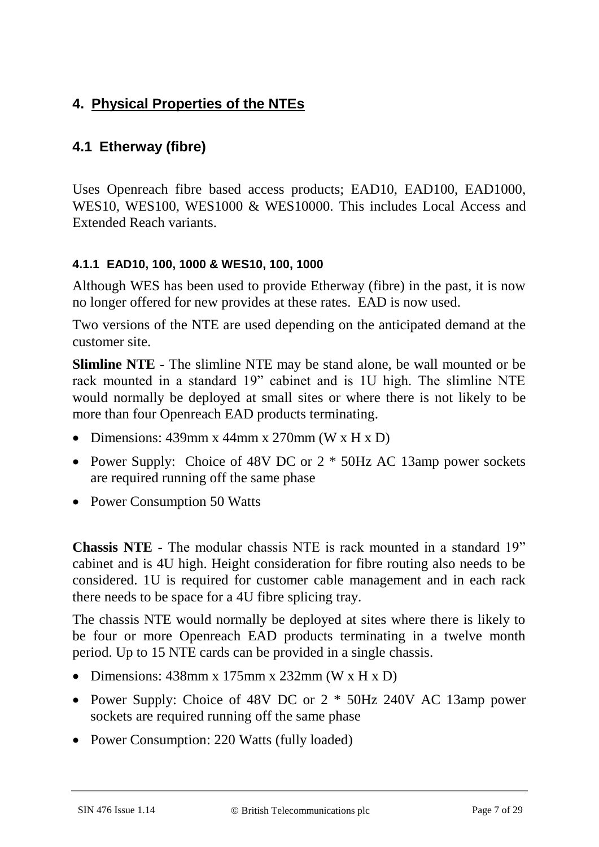## **4. Physical Properties of the NTEs**

## **4.1 Etherway (fibre)**

Uses Openreach fibre based access products; EAD10, EAD100, EAD1000, WES10, WES100, WES1000 & WES10000. This includes Local Access and Extended Reach variants.

#### **4.1.1 EAD10, 100, 1000 & WES10, 100, 1000**

Although WES has been used to provide Etherway (fibre) in the past, it is now no longer offered for new provides at these rates. EAD is now used.

Two versions of the NTE are used depending on the anticipated demand at the customer site.

**Slimline NTE -** The slimline NTE may be stand alone, be wall mounted or be rack mounted in a standard 19" cabinet and is 1U high. The slimline NTE would normally be deployed at small sites or where there is not likely to be more than four Openreach EAD products terminating.

- Dimensions:  $439$ mm x  $44$ mm x  $270$ mm (W x H x D)
- Power Supply: Choice of 48V DC or 2  $*$  50Hz AC 13amp power sockets are required running off the same phase
- Power Consumption 50 Watts

**Chassis NTE -** The modular chassis NTE is rack mounted in a standard 19" cabinet and is 4U high. Height consideration for fibre routing also needs to be considered. 1U is required for customer cable management and in each rack there needs to be space for a 4U fibre splicing tray.

The chassis NTE would normally be deployed at sites where there is likely to be four or more Openreach EAD products terminating in a twelve month period. Up to 15 NTE cards can be provided in a single chassis.

- Dimensions:  $438$ mm x  $175$ mm x  $232$ mm (W x H x D)
- Power Supply: Choice of 48V DC or 2  $*$  50Hz 240V AC 13amp power sockets are required running off the same phase
- Power Consumption: 220 Watts (fully loaded)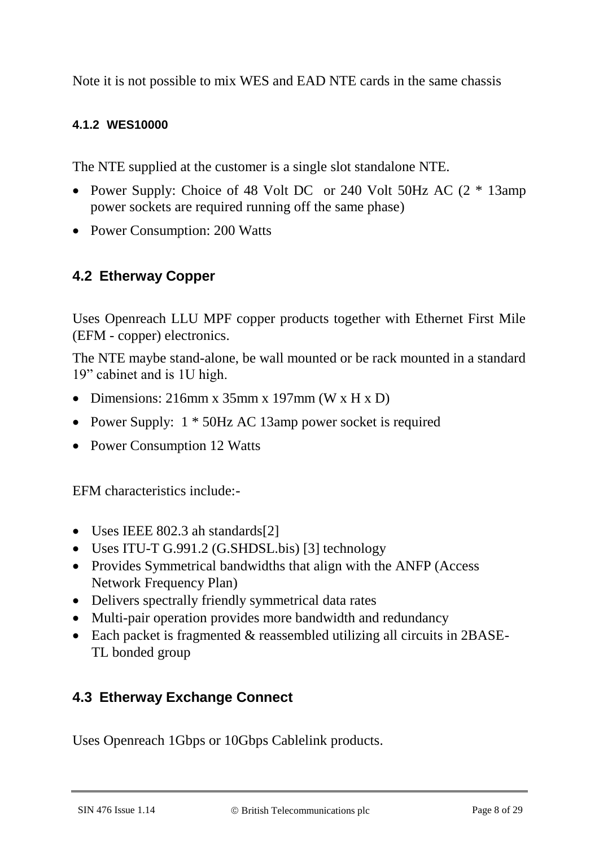Note it is not possible to mix WES and EAD NTE cards in the same chassis

#### **4.1.2 WES10000**

The NTE supplied at the customer is a single slot standalone NTE.

- Power Supply: Choice of 48 Volt DC or 240 Volt 50Hz AC (2  $*$  13amp power sockets are required running off the same phase)
- Power Consumption: 200 Watts

#### **4.2 Etherway Copper**

Uses Openreach LLU MPF copper products together with Ethernet First Mile (EFM - copper) electronics.

The NTE maybe stand-alone, be wall mounted or be rack mounted in a standard 19" cabinet and is 1U high.

- Dimensions:  $216$ mm x  $35$ mm x  $197$ mm (W x H x D)
- Power Supply:  $1 * 50$ Hz AC 13amp power socket is required
- Power Consumption 12 Watts

EFM characteristics include:-

- Uses IEEE 802.3 ah standards[2]
- Uses ITU-T G.991.2 (G.SHDSL.bis) [3] technology
- Provides Symmetrical bandwidths that align with the ANFP (Access Network Frequency Plan)
- Delivers spectrally friendly symmetrical data rates
- Multi-pair operation provides more bandwidth and redundancy
- Each packet is fragmented & reassembled utilizing all circuits in 2BASE-TL bonded group

### **4.3 Etherway Exchange Connect**

Uses Openreach 1Gbps or 10Gbps Cablelink products.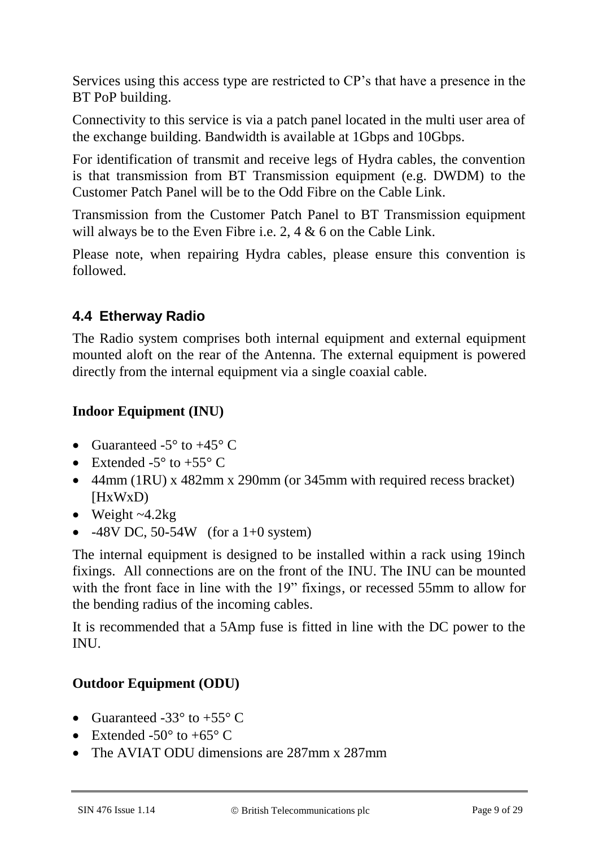Services using this access type are restricted to CP's that have a presence in the BT PoP building.

Connectivity to this service is via a patch panel located in the multi user area of the exchange building. Bandwidth is available at 1Gbps and 10Gbps.

For identification of transmit and receive legs of Hydra cables, the convention is that transmission from BT Transmission equipment (e.g. DWDM) to the Customer Patch Panel will be to the Odd Fibre on the Cable Link.

Transmission from the Customer Patch Panel to BT Transmission equipment will always be to the Even Fibre i.e. 2, 4 & 6 on the Cable Link.

Please note, when repairing Hydra cables, please ensure this convention is followed.

## **4.4 Etherway Radio**

The Radio system comprises both internal equipment and external equipment mounted aloft on the rear of the Antenna. The external equipment is powered directly from the internal equipment via a single coaxial cable.

### **Indoor Equipment (INU)**

- Guaranteed -5 $\degree$  to +45 $\degree$  C
- Extended  $-5^\circ$  to  $+55^\circ$  C
- 44mm (1RU) x 482mm x 290mm (or 345mm with required recess bracket) [HxWxD)
- $\bullet$  Weight ~4.2kg
- $-48V$  DC, 50-54W (for a 1+0 system)

The internal equipment is designed to be installed within a rack using 19inch fixings. All connections are on the front of the INU. The INU can be mounted with the front face in line with the 19" fixings, or recessed 55mm to allow for the bending radius of the incoming cables.

It is recommended that a 5Amp fuse is fitted in line with the DC power to the INU.

### **Outdoor Equipment (ODU)**

- Guaranteed -33 $\degree$  to +55 $\degree$  C
- Extended -50 $\degree$  to +65 $\degree$  C
- The AVIAT ODU dimensions are 287mm x 287mm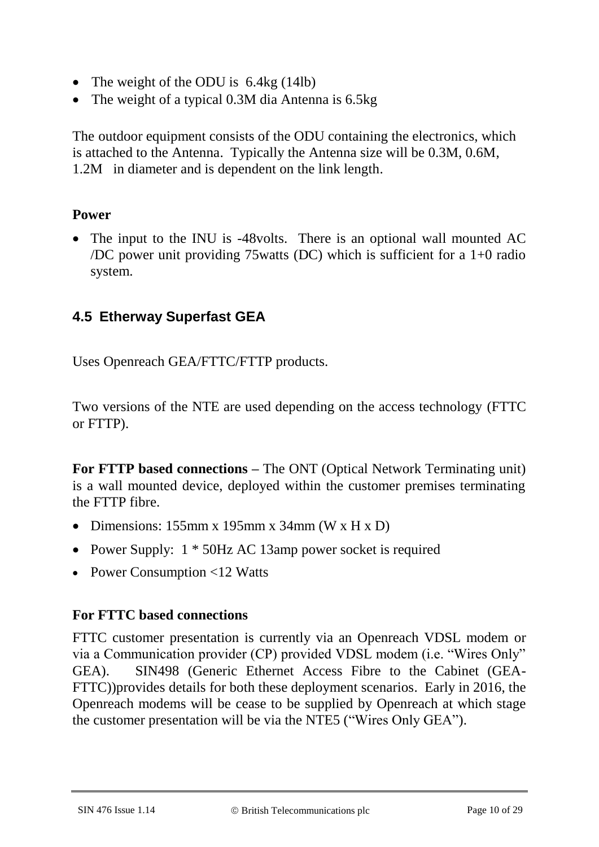- The weight of the ODU is  $6.4kg(14lb)$
- The weight of a typical 0.3M dia Antenna is 6.5kg

The outdoor equipment consists of the ODU containing the electronics, which is attached to the Antenna. Typically the Antenna size will be 0.3M, 0.6M, 1.2M in diameter and is dependent on the link length.

#### **Power**

• The input to the INU is -48 volts. There is an optional wall mounted AC /DC power unit providing 75watts (DC) which is sufficient for a 1+0 radio system.

## **4.5 Etherway Superfast GEA**

Uses Openreach GEA/FTTC/FTTP products.

Two versions of the NTE are used depending on the access technology (FTTC or FTTP).

**For FTTP based connections –** The ONT (Optical Network Terminating unit) is a wall mounted device, deployed within the customer premises terminating the FTTP fibre.

- Dimensions: 155mm x 195mm x 34mm (W x H x D)
- Power Supply:  $1 * 50$ Hz AC 13amp power socket is required
- Power Consumption <12 Watts

#### **For FTTC based connections**

FTTC customer presentation is currently via an Openreach VDSL modem or via a Communication provider (CP) provided VDSL modem (i.e. "Wires Only" GEA). SIN498 (Generic Ethernet Access Fibre to the Cabinet (GEA-FTTC))provides details for both these deployment scenarios. Early in 2016, the Openreach modems will be cease to be supplied by Openreach at which stage the customer presentation will be via the NTE5 ("Wires Only GEA").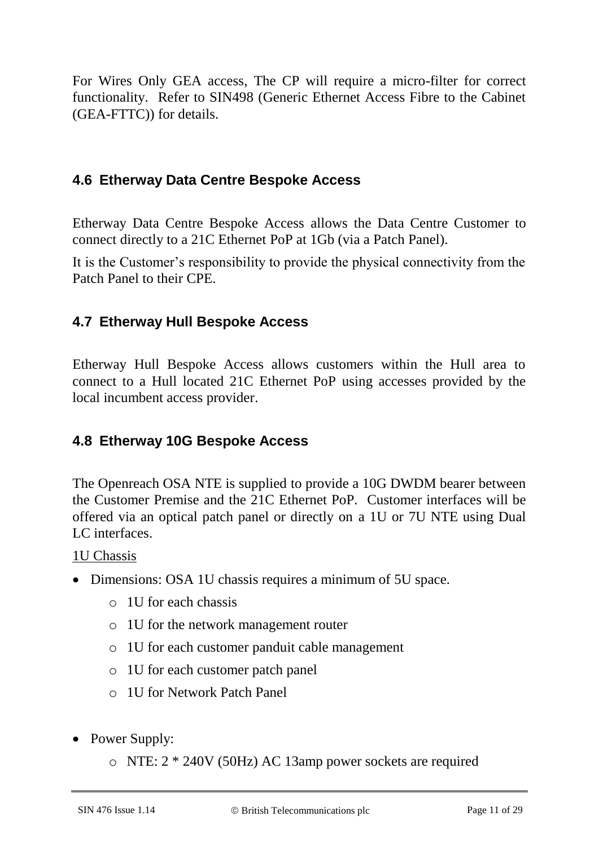For Wires Only GEA access, The CP will require a micro-filter for correct functionality. Refer to SIN498 (Generic Ethernet Access Fibre to the Cabinet (GEA-FTTC)) for details.

### **4.6 Etherway Data Centre Bespoke Access**

Etherway Data Centre Bespoke Access allows the Data Centre Customer to connect directly to a 21C Ethernet PoP at 1Gb (via a Patch Panel).

It is the Customer's responsibility to provide the physical connectivity from the Patch Panel to their CPE.

### **4.7 Etherway Hull Bespoke Access**

Etherway Hull Bespoke Access allows customers within the Hull area to connect to a Hull located 21C Ethernet PoP using accesses provided by the local incumbent access provider.

### **4.8 Etherway 10G Bespoke Access**

The Openreach OSA NTE is supplied to provide a 10G DWDM bearer between the Customer Premise and the 21C Ethernet PoP. Customer interfaces will be offered via an optical patch panel or directly on a 1U or 7U NTE using Dual LC interfaces.

#### 1U Chassis

- Dimensions: OSA 1U chassis requires a minimum of 5U space.
	- o 1U for each chassis
	- o 1U for the network management router
	- o 1U for each customer panduit cable management
	- o 1U for each customer patch panel
	- o 1U for Network Patch Panel
- Power Supply:
	- o NTE: 2 \* 240V (50Hz) AC 13amp power sockets are required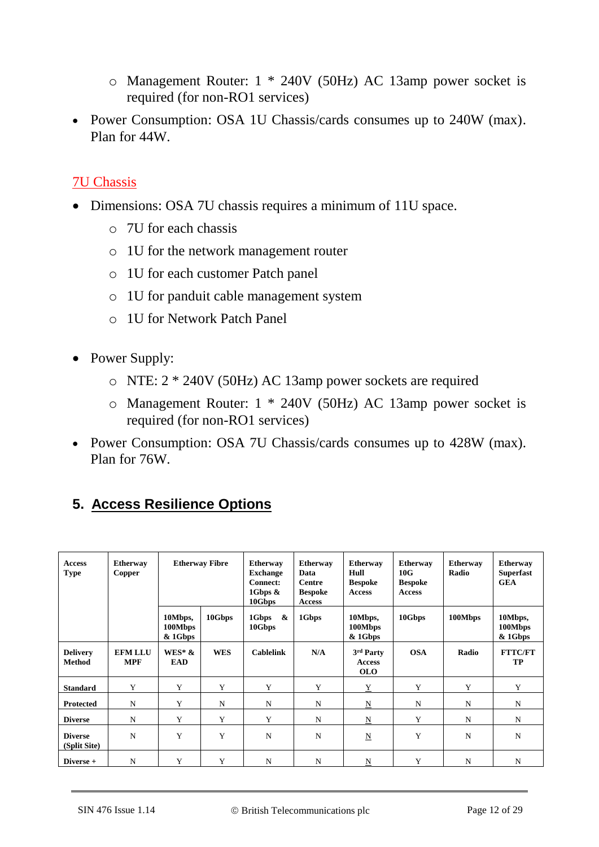- o Management Router: 1 \* 240V (50Hz) AC 13amp power socket is required (for non-RO1 services)
- Power Consumption: OSA 1U Chassis/cards consumes up to 240W (max). Plan for 44W.

#### 7U Chassis

- Dimensions: OSA 7U chassis requires a minimum of 11U space.
	- o 7U for each chassis
	- o 1U for the network management router
	- o 1U for each customer Patch panel
	- o 1U for panduit cable management system
	- o 1U for Network Patch Panel
- Power Supply:
	- o NTE: 2 \* 240V (50Hz) AC 13amp power sockets are required
	- o Management Router: 1 \* 240V (50Hz) AC 13amp power socket is required (for non-RO1 services)
- Power Consumption: OSA 7U Chassis/cards consumes up to 428W (max). Plan for 76W.

## **5. Access Resilience Options**

| <b>Access</b><br><b>Type</b>     | <b>Etherway</b><br>Copper    | <b>Etherway Fibre</b>         |             | <b>Etherway</b><br><b>Exchange</b><br><b>Connect:</b><br>1Gbps $\&$<br>10Gbps | <b>Etherway</b><br>Data<br>Centre<br><b>Bespoke</b><br><b>Access</b> | <b>Etherway</b><br>Hull<br><b>Bespoke</b><br><b>Access</b> | <b>Etherway</b><br>10G<br><b>Bespoke</b><br><b>Access</b> | <b>Etherway</b><br>Radio | <b>Etherway</b><br><b>Superfast</b><br><b>GEA</b> |
|----------------------------------|------------------------------|-------------------------------|-------------|-------------------------------------------------------------------------------|----------------------------------------------------------------------|------------------------------------------------------------|-----------------------------------------------------------|--------------------------|---------------------------------------------------|
|                                  |                              | 10Mbps,<br>100Mbps<br>& 1Gbps | 10Gbps      | &<br>1Gbps<br>10Gbps                                                          | 1Gbps                                                                | 10Mbps,<br>100Mbps<br>& 1Gbps                              | 10Gbps                                                    | 100Mbps                  | 10Mbps,<br>100Mbps<br>& 1Gbps                     |
| <b>Delivery</b><br><b>Method</b> | <b>EFM LLU</b><br><b>MPF</b> | $WES^*$ &<br><b>EAD</b>       | <b>WES</b>  | <b>Cablelink</b>                                                              | N/A                                                                  | 3rd Party<br><b>Access</b><br><b>OLO</b>                   | <b>OSA</b>                                                | Radio                    | <b>FTTC/FT</b><br>TP                              |
| <b>Standard</b>                  | Y                            | Y                             | Y           | Y                                                                             | Y                                                                    | $\underline{Y}$                                            | Y                                                         | Y                        | Y                                                 |
| <b>Protected</b>                 | N                            | Y                             | $\mathbf N$ | N                                                                             | N                                                                    | N                                                          | N                                                         | $\mathbf N$              | N                                                 |
| <b>Diverse</b>                   | N                            | Y                             | Y           | Y                                                                             | N                                                                    | $\underline{\mathbf{N}}$                                   | Y                                                         | N                        | N                                                 |
| <b>Diverse</b><br>(Split Site)   | N                            | Y                             | Y           | N                                                                             | N                                                                    | N                                                          | Y                                                         | N                        | N                                                 |
| Diverse +                        | N                            | Y                             | Y           | N                                                                             | N                                                                    | N                                                          | Y                                                         | N                        | N                                                 |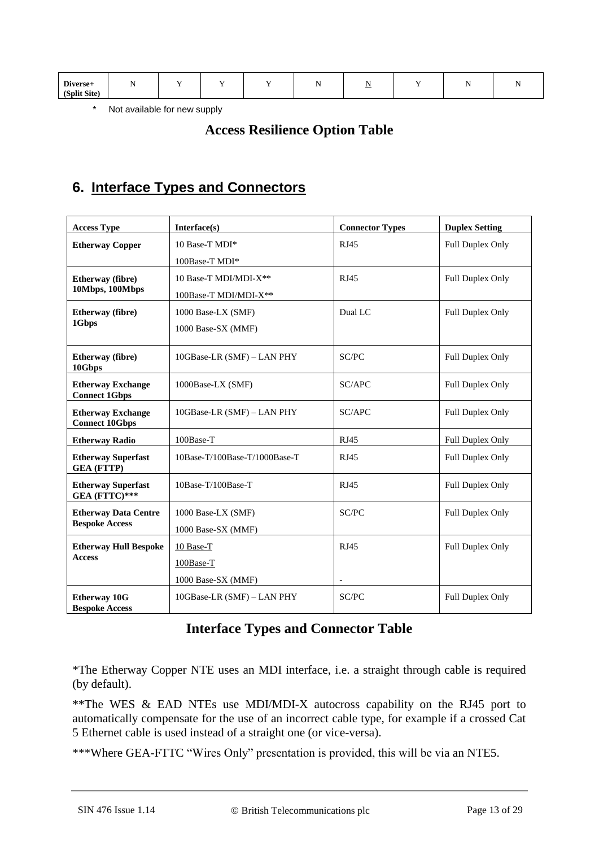| Diverse+     |  |  | $\overline{\phantom{a}}$ |  |  |
|--------------|--|--|--------------------------|--|--|
| (Split Site) |  |  |                          |  |  |

\* Not available for new supply

#### **Access Resilience Option Table**

### **6. Interface Types and Connectors**

| <b>Access Type</b>                                | Interface(s)                  | <b>Connector Types</b> | <b>Duplex Setting</b>   |
|---------------------------------------------------|-------------------------------|------------------------|-------------------------|
| <b>Etherway Copper</b>                            | 10 Base-T MDI*                | RJ45                   | Full Duplex Only        |
|                                                   | 100Base-T MDI*                |                        |                         |
| Etherway (fibre)                                  | 10 Base-T MDI/MDI-X**         | RJ45                   | Full Duplex Only        |
| 10Mbps, 100Mbps                                   | 100Base-T MDI/MDI-X**         |                        |                         |
| Etherway (fibre)                                  | 1000 Base-LX (SMF)            | Dual LC                | Full Duplex Only        |
| 1Gbps                                             | 1000 Base-SX (MMF)            |                        |                         |
| Etherway (fibre)<br>10Gbps                        | 10GBase-LR (SMF) - LAN PHY    | SC/PC                  | Full Duplex Only        |
| <b>Etherway Exchange</b><br><b>Connect 1Gbps</b>  | 1000Base-LX (SMF)             | SC/APC                 | <b>Full Duplex Only</b> |
| <b>Etherway Exchange</b><br><b>Connect 10Gbps</b> | 10GBase-LR (SMF) - LAN PHY    | SC/APC                 | Full Duplex Only        |
| <b>Etherway Radio</b>                             | 100Base-T                     | <b>RJ45</b>            | Full Duplex Only        |
| <b>Etherway Superfast</b><br><b>GEA (FTTP)</b>    | 10Base-T/100Base-T/1000Base-T | <b>RJ45</b>            | Full Duplex Only        |
| <b>Etherway Superfast</b><br>GEA (FTTC)***        | 10Base-T/100Base-T            | RJ45                   | Full Duplex Only        |
| <b>Etherway Data Centre</b>                       | 1000 Base-LX (SMF)            | SC/PC                  | Full Duplex Only        |
| <b>Bespoke Access</b>                             | 1000 Base-SX (MMF)            |                        |                         |
| <b>Etherway Hull Bespoke</b>                      | 10 Base-T                     | <b>RJ45</b>            | Full Duplex Only        |
| <b>Access</b>                                     | 100Base-T                     |                        |                         |
|                                                   | 1000 Base-SX (MMF)            |                        |                         |
| <b>Etherway 10G</b><br><b>Bespoke Access</b>      | 10GBase-LR (SMF) - LAN PHY    | SC/PC                  | <b>Full Duplex Only</b> |

#### **Interface Types and Connector Table**

\*The Etherway Copper NTE uses an MDI interface, i.e. a straight through cable is required (by default).

\*\*The WES & EAD NTEs use MDI/MDI-X autocross capability on the RJ45 port to automatically compensate for the use of an incorrect cable type, for example if a crossed Cat 5 Ethernet cable is used instead of a straight one (or vice-versa).

\*\*\*Where GEA-FTTC "Wires Only" presentation is provided, this will be via an NTE5.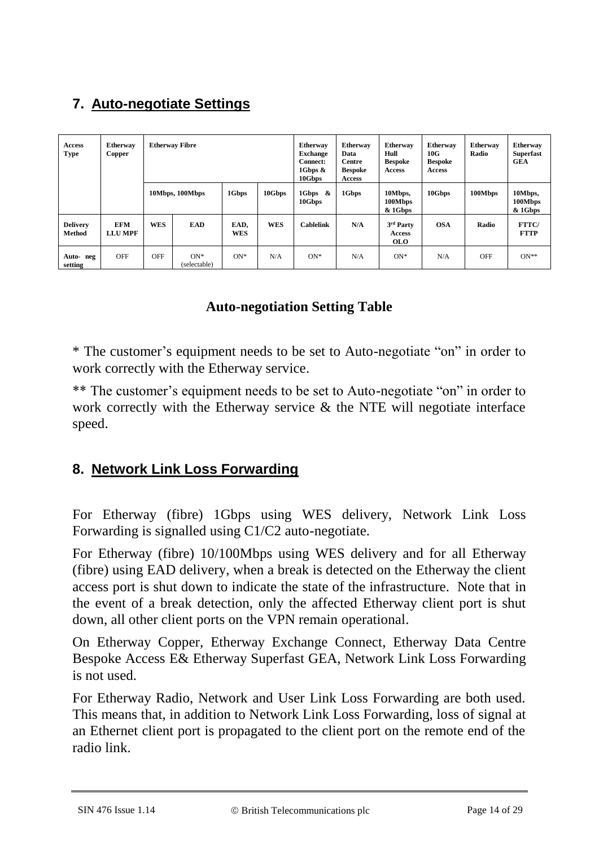# **7. Auto-negotiate Settings**

| <b>Access</b><br><b>Type</b>     | <b>Etherway</b><br>Copper    | <b>Etherway Fibre</b> |                       |                    | <b>Etherway</b><br><b>Exchange</b><br><b>Connect:</b><br>1Gbps $\&$<br>10Gbps | <b>Etherway</b><br>Data<br><b>Centre</b><br><b>Bespoke</b><br><b>Access</b> | <b>Etherway</b><br>Hull<br><b>Bespoke</b><br><b>Access</b> | <b>Etherway</b><br>10G<br><b>Bespoke</b><br><b>Access</b> | <b>Etherway</b><br>Radio | <b>Etherway</b><br><b>Superfast</b><br><b>GEA</b> |                                 |
|----------------------------------|------------------------------|-----------------------|-----------------------|--------------------|-------------------------------------------------------------------------------|-----------------------------------------------------------------------------|------------------------------------------------------------|-----------------------------------------------------------|--------------------------|---------------------------------------------------|---------------------------------|
|                                  |                              |                       | 10Mbps, 100Mbps       | 1Gbps              | 10Gbps                                                                        | $1Gbps \&$<br>10Gbps                                                        | 1Gbps                                                      | 10Mbps,<br>100Mbps<br>& 1Gbps                             | 10Gbps                   | 100Mbps                                           | 10Mbps,<br>100Mbps<br>$&$ 1Gbps |
| <b>Delivery</b><br><b>Method</b> | <b>EFM</b><br><b>LLU MPF</b> | <b>WES</b>            | EAD                   | EAD,<br><b>WES</b> | <b>WES</b>                                                                    | <b>Cablelink</b>                                                            | N/A                                                        | 3rd Party<br><b>Access</b><br><b>OLO</b>                  | <b>OSA</b>               | Radio                                             | <b>FTTC</b><br><b>FTTP</b>      |
| Auto- neg<br>setting             | <b>OFF</b>                   | <b>OFF</b>            | $ON*$<br>(selectable) | $ON^*$             | N/A                                                                           | $ON*$                                                                       | N/A                                                        | $ON*$                                                     | N/A                      | <b>OFF</b>                                        | $ON**$                          |

### **Auto-negotiation Setting Table**

\* The customer's equipment needs to be set to Auto-negotiate "on" in order to work correctly with the Etherway service.

\*\* The customer's equipment needs to be set to Auto-negotiate "on" in order to work correctly with the Etherway service & the NTE will negotiate interface speed.

### **8. Network Link Loss Forwarding**

For Etherway (fibre) 1Gbps using WES delivery, Network Link Loss Forwarding is signalled using C1/C2 auto-negotiate.

For Etherway (fibre) 10/100Mbps using WES delivery and for all Etherway (fibre) using EAD delivery, when a break is detected on the Etherway the client access port is shut down to indicate the state of the infrastructure. Note that in the event of a break detection, only the affected Etherway client port is shut down, all other client ports on the VPN remain operational.

On Etherway Copper, Etherway Exchange Connect, Etherway Data Centre Bespoke Access E& Etherway Superfast GEA, Network Link Loss Forwarding is not used.

For Etherway Radio, Network and User Link Loss Forwarding are both used. This means that, in addition to Network Link Loss Forwarding, loss of signal at an Ethernet client port is propagated to the client port on the remote end of the radio link.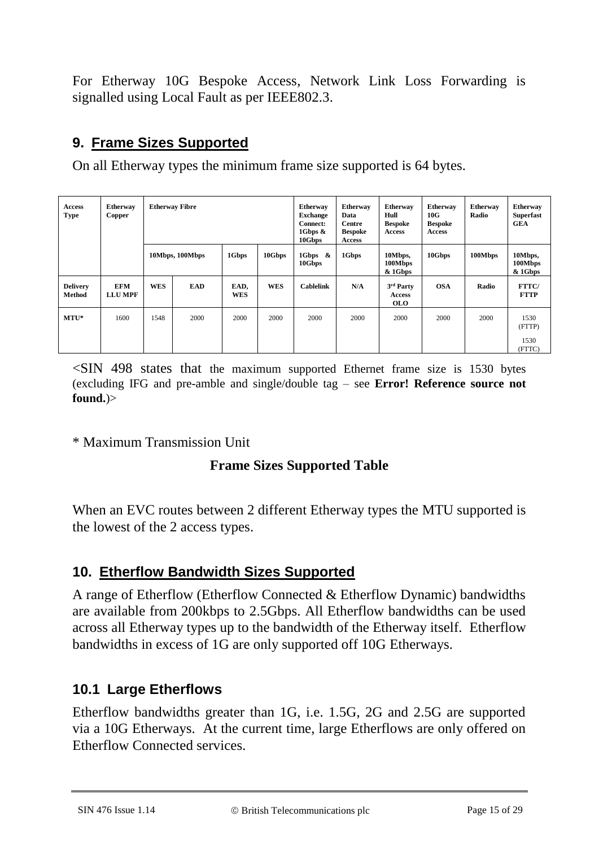For Etherway 10G Bespoke Access, Network Link Loss Forwarding is signalled using Local Fault as per IEEE802.3.

## **9. Frame Sizes Supported**

On all Etherway types the minimum frame size supported is 64 bytes.

| <b>Access</b><br><b>Type</b>     | <b>Etherway</b><br>Copper    | <b>Etherway Fibre</b> |                 |                    |            | <b>Etherway</b><br><b>Exchange</b><br><b>Connect:</b><br>1Gbps &<br>10Gbps | <b>Etherway</b><br>Data<br><b>Centre</b><br><b>Bespoke</b><br><b>Access</b> | <b>Etherway</b><br>Hull<br><b>Bespoke</b><br>Access | <b>Etherway</b><br>10G<br><b>Bespoke</b><br><b>Access</b> | <b>Etherway</b><br>Radio | <b>Etherway</b><br><b>Superfast</b><br><b>GEA</b> |
|----------------------------------|------------------------------|-----------------------|-----------------|--------------------|------------|----------------------------------------------------------------------------|-----------------------------------------------------------------------------|-----------------------------------------------------|-----------------------------------------------------------|--------------------------|---------------------------------------------------|
|                                  |                              |                       | 10Mbps, 100Mbps | 1Gbps              | 10Gbps     | 1Gbps &<br>10Gbps                                                          | 1Gbps                                                                       | 10Mbps,<br>100Mbps<br>& 1Gbps                       | 10Gbps                                                    | 100Mbps                  | 10Mbps,<br>100Mbps<br>& 1Gbps                     |
| <b>Delivery</b><br><b>Method</b> | <b>EFM</b><br><b>LLU MPF</b> | <b>WES</b>            | <b>EAD</b>      | EAD,<br><b>WES</b> | <b>WES</b> | <b>Cablelink</b>                                                           | N/A                                                                         | 3rd Party<br><b>Access</b><br><b>OLO</b>            | <b>OSA</b>                                                | Radio                    | FTTC/<br><b>FTTP</b>                              |
| $MTU^*$                          | 1600                         | 1548                  | 2000            | 2000               | 2000       | 2000                                                                       | 2000                                                                        | 2000                                                | 2000                                                      | 2000                     | 1530<br>(FTTP)                                    |
|                                  |                              |                       |                 |                    |            |                                                                            |                                                                             |                                                     |                                                           |                          | 1530<br>(FTTC)                                    |

 $\leq$ SIN 498 states that the maximum supported Ethernet frame size is 1530 bytes (excluding IFG and pre-amble and single/double tag – see **Error! Reference source not found.**)>

\* Maximum Transmission Unit

## **Frame Sizes Supported Table**

When an EVC routes between 2 different Etherway types the MTU supported is the lowest of the 2 access types.

## **10. Etherflow Bandwidth Sizes Supported**

A range of Etherflow (Etherflow Connected & Etherflow Dynamic) bandwidths are available from 200kbps to 2.5Gbps. All Etherflow bandwidths can be used across all Etherway types up to the bandwidth of the Etherway itself. Etherflow bandwidths in excess of 1G are only supported off 10G Etherways.

## **10.1 Large Etherflows**

Etherflow bandwidths greater than 1G, i.e. 1.5G, 2G and 2.5G are supported via a 10G Etherways. At the current time, large Etherflows are only offered on Etherflow Connected services.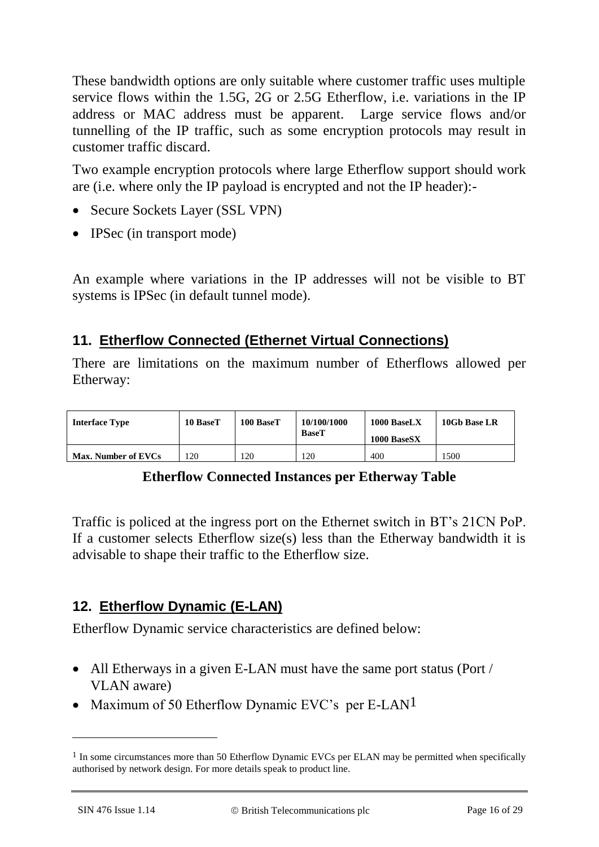These bandwidth options are only suitable where customer traffic uses multiple service flows within the 1.5G, 2G or 2.5G Etherflow, i.e. variations in the IP address or MAC address must be apparent. Large service flows and/or tunnelling of the IP traffic, such as some encryption protocols may result in customer traffic discard.

Two example encryption protocols where large Etherflow support should work are (i.e. where only the IP payload is encrypted and not the IP header):-

- Secure Sockets Layer (SSL VPN)
- IPSec (in transport mode)

An example where variations in the IP addresses will not be visible to BT systems is IPSec (in default tunnel mode).

## **11. Etherflow Connected (Ethernet Virtual Connections)**

There are limitations on the maximum number of Etherflows allowed per Etherway:

| <b>Interface Type</b> | 10 BaseT | 100 BaseT | 10/100/1000<br><b>BaseT</b> | $1000$ BaseLX<br>1000 BaseSX | 10Gb Base LR |
|-----------------------|----------|-----------|-----------------------------|------------------------------|--------------|
| Max. Number of EVCs   | 120      | l 20      | 120                         | 400                          | 1500         |

### **Etherflow Connected Instances per Etherway Table**

Traffic is policed at the ingress port on the Ethernet switch in BT's 21CN PoP. If a customer selects Etherflow size(s) less than the Etherway bandwidth it is advisable to shape their traffic to the Etherflow size.

## **12. Etherflow Dynamic (E-LAN)**

Etherflow Dynamic service characteristics are defined below:

- All Etherways in a given E-LAN must have the same port status (Port / VLAN aware)
- Maximum of 50 Etherflow Dynamic EVC's per E-LAN<sup>1</sup>

 $\overline{a}$ 

 $<sup>1</sup>$  In some circumstances more than 50 Etherflow Dynamic EVCs per ELAN may be permitted when specifically</sup> authorised by network design. For more details speak to product line.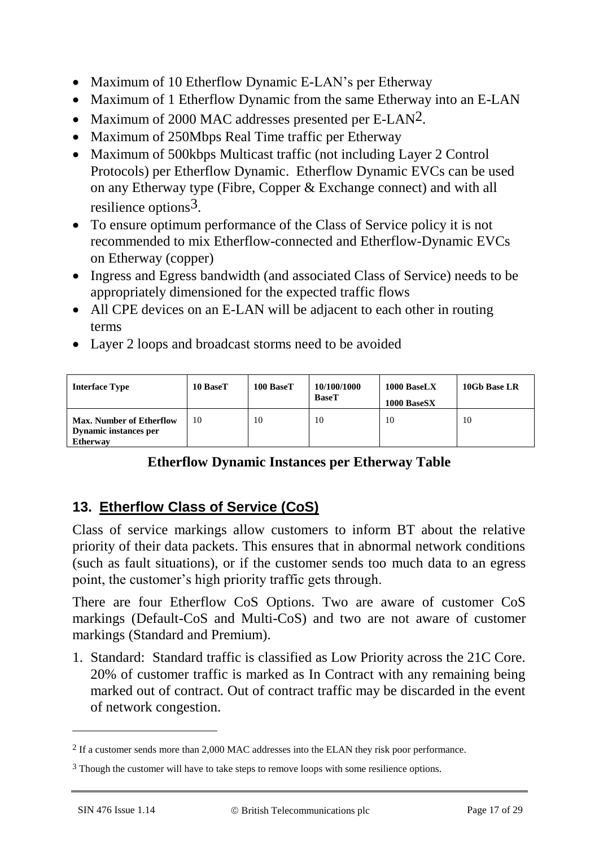- Maximum of 10 Etherflow Dynamic E-LAN's per Etherway
- Maximum of 1 Etherflow Dynamic from the same Etherway into an E-LAN
- Maximum of 2000 MAC addresses presented per E-LAN<sup>2</sup>.
- Maximum of 250Mbps Real Time traffic per Etherway
- Maximum of 500kbps Multicast traffic (not including Layer 2 Control Protocols) per Etherflow Dynamic. Etherflow Dynamic EVCs can be used on any Etherway type (Fibre, Copper & Exchange connect) and with all resilience options3.
- To ensure optimum performance of the Class of Service policy it is not recommended to mix Etherflow-connected and Etherflow-Dynamic EVCs on Etherway (copper)
- Ingress and Egress bandwidth (and associated Class of Service) needs to be appropriately dimensioned for the expected traffic flows
- All CPE devices on an E-LAN will be adjacent to each other in routing terms
- Layer 2 loops and broadcast storms need to be avoided

| <b>Interface Type</b>                                                       | 10 BaseT | 100 BaseT | 10/100/1000<br><b>BaseT</b> | 1000 BaseLX<br>1000 BaseSX | 10Gb Base LR |
|-----------------------------------------------------------------------------|----------|-----------|-----------------------------|----------------------------|--------------|
| <b>Max. Number of Etherflow</b><br>Dynamic instances per<br><b>Etherway</b> | 10       | 10        | 10                          | 10                         | 10           |

### **Etherflow Dynamic Instances per Etherway Table**

## **13. Etherflow Class of Service (CoS)**

Class of service markings allow customers to inform BT about the relative priority of their data packets. This ensures that in abnormal network conditions (such as fault situations), or if the customer sends too much data to an egress point, the customer's high priority traffic gets through.

There are four Etherflow CoS Options. Two are aware of customer CoS markings (Default-CoS and Multi-CoS) and two are not aware of customer markings (Standard and Premium).

1. Standard: Standard traffic is classified as Low Priority across the 21C Core. 20% of customer traffic is marked as In Contract with any remaining being marked out of contract. Out of contract traffic may be discarded in the event of network congestion.

 $\overline{a}$ 

<sup>2</sup> If a customer sends more than 2,000 MAC addresses into the ELAN they risk poor performance.

<sup>&</sup>lt;sup>3</sup> Though the customer will have to take steps to remove loops with some resilience options.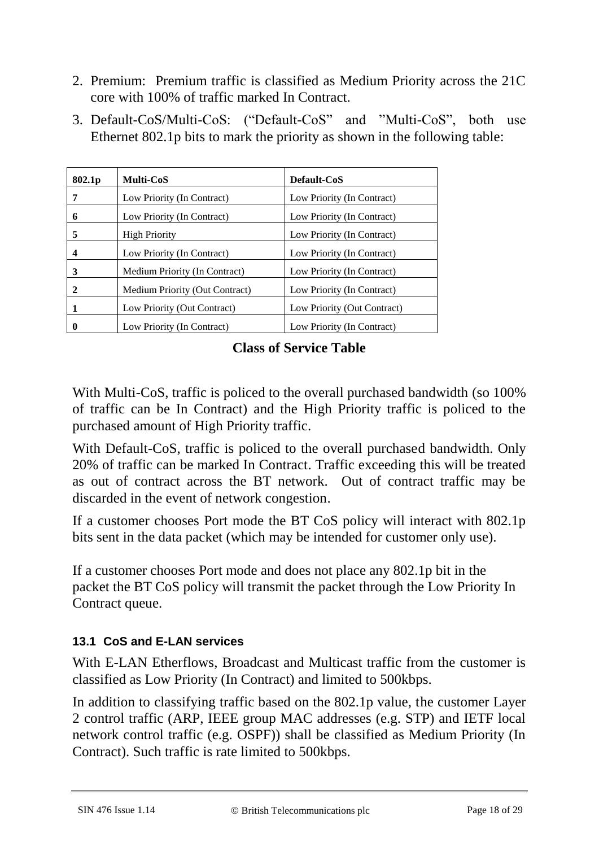- 2. Premium: Premium traffic is classified as Medium Priority across the 21C core with 100% of traffic marked In Contract.
- 3. Default-CoS/Multi-CoS: ("Default-CoS" and "Multi-CoS", both use Ethernet 802.1p bits to mark the priority as shown in the following table:

| 802.1p   | <b>Multi-CoS</b>               | Default-CoS                 |
|----------|--------------------------------|-----------------------------|
| 7        | Low Priority (In Contract)     | Low Priority (In Contract)  |
| 6        | Low Priority (In Contract)     | Low Priority (In Contract)  |
| 5        | <b>High Priority</b>           | Low Priority (In Contract)  |
| 4        | Low Priority (In Contract)     | Low Priority (In Contract)  |
| 3        | Medium Priority (In Contract)  | Low Priority (In Contract)  |
| 2        | Medium Priority (Out Contract) | Low Priority (In Contract)  |
| 1        | Low Priority (Out Contract)    | Low Priority (Out Contract) |
| $\bf{0}$ | Low Priority (In Contract)     | Low Priority (In Contract)  |

**Class of Service Table**

With Multi-CoS, traffic is policed to the overall purchased bandwidth (so 100%) of traffic can be In Contract) and the High Priority traffic is policed to the purchased amount of High Priority traffic.

With Default-CoS, traffic is policed to the overall purchased bandwidth. Only 20% of traffic can be marked In Contract. Traffic exceeding this will be treated as out of contract across the BT network. Out of contract traffic may be discarded in the event of network congestion.

If a customer chooses Port mode the BT CoS policy will interact with 802.1p bits sent in the data packet (which may be intended for customer only use).

If a customer chooses Port mode and does not place any 802.1p bit in the packet the BT CoS policy will transmit the packet through the Low Priority In Contract queue.

### **13.1 CoS and E-LAN services**

With E-LAN Etherflows, Broadcast and Multicast traffic from the customer is classified as Low Priority (In Contract) and limited to 500kbps.

In addition to classifying traffic based on the 802.1p value, the customer Layer 2 control traffic (ARP, IEEE group MAC addresses (e.g. STP) and IETF local network control traffic (e.g. OSPF)) shall be classified as Medium Priority (In Contract). Such traffic is rate limited to 500kbps.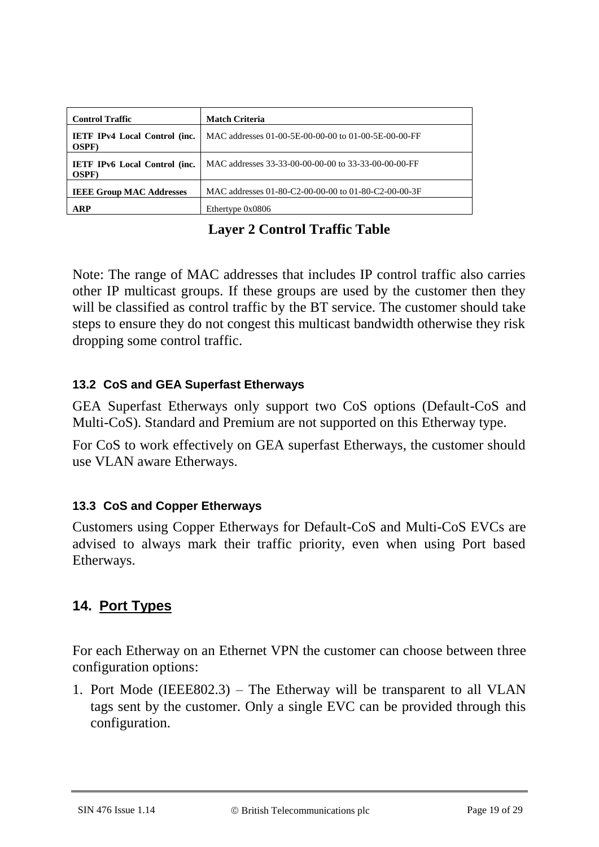| <b>Control Traffic</b>                                | <b>Match Criteria</b>                                |
|-------------------------------------------------------|------------------------------------------------------|
| <b>IETF IPv4 Local Control (inc.</b><br><b>OSPF</b> ) | MAC addresses 01-00-5E-00-00-00 to 01-00-5E-00-00-FF |
| <b>IETF IPv6 Local Control (inc.</b><br><b>OSPF</b> ) | MAC addresses 33-33-00-00-00-00 to 33-33-00-00-00-FF |
| <b>IEEE Group MAC Addresses</b>                       | MAC addresses 01-80-C2-00-00-00 to 01-80-C2-00-00-3F |
| ARP                                                   | Ethertype $0x0806$                                   |

**Layer 2 Control Traffic Table**

Note: The range of MAC addresses that includes IP control traffic also carries other IP multicast groups. If these groups are used by the customer then they will be classified as control traffic by the BT service. The customer should take steps to ensure they do not congest this multicast bandwidth otherwise they risk dropping some control traffic.

### **13.2 CoS and GEA Superfast Etherways**

GEA Superfast Etherways only support two CoS options (Default-CoS and Multi-CoS). Standard and Premium are not supported on this Etherway type.

For CoS to work effectively on GEA superfast Etherways, the customer should use VLAN aware Etherways.

### **13.3 CoS and Copper Etherways**

Customers using Copper Etherways for Default-CoS and Multi-CoS EVCs are advised to always mark their traffic priority, even when using Port based Etherways.

## **14. Port Types**

For each Etherway on an Ethernet VPN the customer can choose between three configuration options:

1. Port Mode (IEEE802.3) – The Etherway will be transparent to all VLAN tags sent by the customer. Only a single EVC can be provided through this configuration.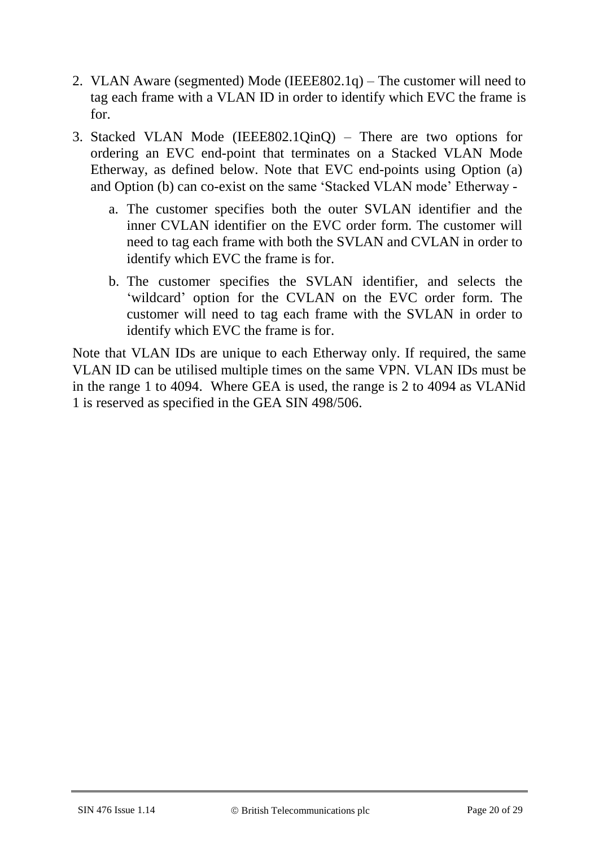- 2. VLAN Aware (segmented) Mode (IEEE802.1q) The customer will need to tag each frame with a VLAN ID in order to identify which EVC the frame is for.
- 3. Stacked VLAN Mode (IEEE802.1QinQ) There are two options for ordering an EVC end-point that terminates on a Stacked VLAN Mode Etherway, as defined below. Note that EVC end-points using Option (a) and Option (b) can co-exist on the same 'Stacked VLAN mode' Etherway
	- a. The customer specifies both the outer SVLAN identifier and the inner CVLAN identifier on the EVC order form. The customer will need to tag each frame with both the SVLAN and CVLAN in order to identify which EVC the frame is for.
	- b. The customer specifies the SVLAN identifier, and selects the 'wildcard' option for the CVLAN on the EVC order form. The customer will need to tag each frame with the SVLAN in order to identify which EVC the frame is for.

Note that VLAN IDs are unique to each Etherway only. If required, the same VLAN ID can be utilised multiple times on the same VPN. VLAN IDs must be in the range 1 to 4094. Where GEA is used, the range is 2 to 4094 as VLANid 1 is reserved as specified in the GEA SIN 498/506.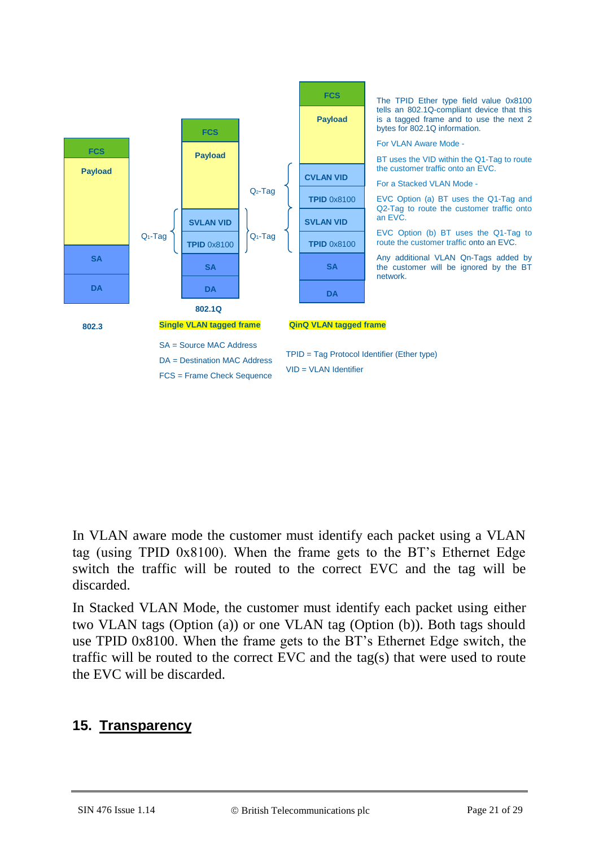

In VLAN aware mode the customer must identify each packet using a VLAN tag (using TPID 0x8100). When the frame gets to the BT's Ethernet Edge switch the traffic will be routed to the correct EVC and the tag will be discarded.

In Stacked VLAN Mode, the customer must identify each packet using either two VLAN tags (Option (a)) or one VLAN tag (Option (b)). Both tags should use TPID 0x8100. When the frame gets to the BT's Ethernet Edge switch, the traffic will be routed to the correct EVC and the tag(s) that were used to route the EVC will be discarded.

### **15. Transparency**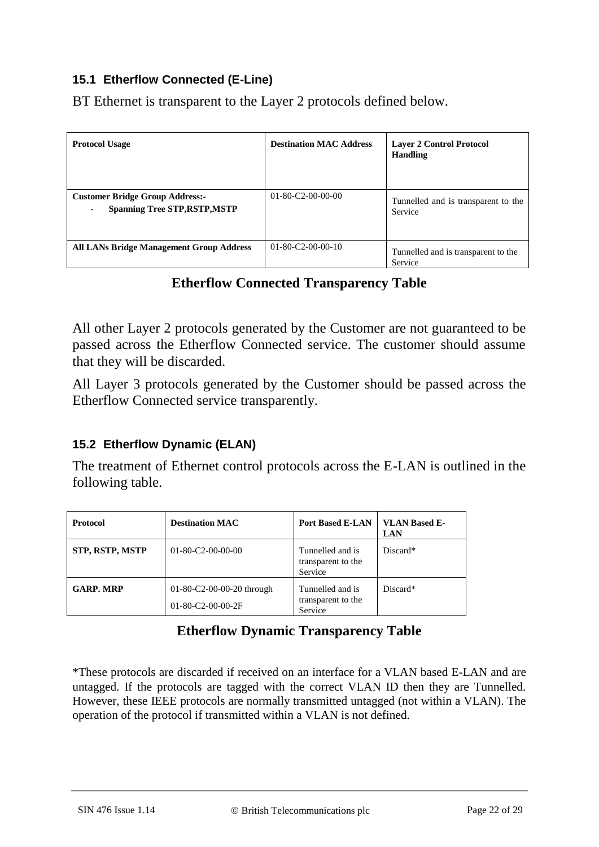#### **15.1 Etherflow Connected (E-Line)**

BT Ethernet is transparent to the Layer 2 protocols defined below.

| <b>Protocol Usage</b>                                                          | <b>Destination MAC Address</b> | <b>Layer 2 Control Protocol</b><br><b>Handling</b> |
|--------------------------------------------------------------------------------|--------------------------------|----------------------------------------------------|
| <b>Customer Bridge Group Address:-</b><br><b>Spanning Tree STP, RSTP, MSTP</b> | $01 - 80 - C2 - 00 - 00 - 00$  | Tunnelled and is transparent to the<br>Service     |
| <b>All LANs Bridge Management Group Address</b>                                | $01-80-C2-00-00-10$            | Tunnelled and is transparent to the<br>Service     |

### **Etherflow Connected Transparency Table**

All other Layer 2 protocols generated by the Customer are not guaranteed to be passed across the Etherflow Connected service. The customer should assume that they will be discarded.

All Layer 3 protocols generated by the Customer should be passed across the Etherflow Connected service transparently.

#### **15.2 Etherflow Dynamic (ELAN)**

The treatment of Ethernet control protocols across the E-LAN is outlined in the following table.

| <b>Protocol</b>        | <b>Destination MAC</b>                                       | <b>Port Based E-LAN</b>                           | <b>VLAN Based E-</b><br><b>LAN</b> |
|------------------------|--------------------------------------------------------------|---------------------------------------------------|------------------------------------|
| <b>STP, RSTP, MSTP</b> | $01 - 80 - C2 - 00 - 00 - 00$                                | Tunnelled and is<br>transparent to the<br>Service | Discard*                           |
| <b>GARP. MRP</b>       | $01-80-C2-00-00-20$ through<br>$01 - 80 - C2 - 00 - 00 - 2F$ | Tunnelled and is<br>transparent to the<br>Service | Discard*                           |

## **Etherflow Dynamic Transparency Table**

\*These protocols are discarded if received on an interface for a VLAN based E-LAN and are untagged. If the protocols are tagged with the correct VLAN ID then they are Tunnelled. However, these IEEE protocols are normally transmitted untagged (not within a VLAN). The operation of the protocol if transmitted within a VLAN is not defined.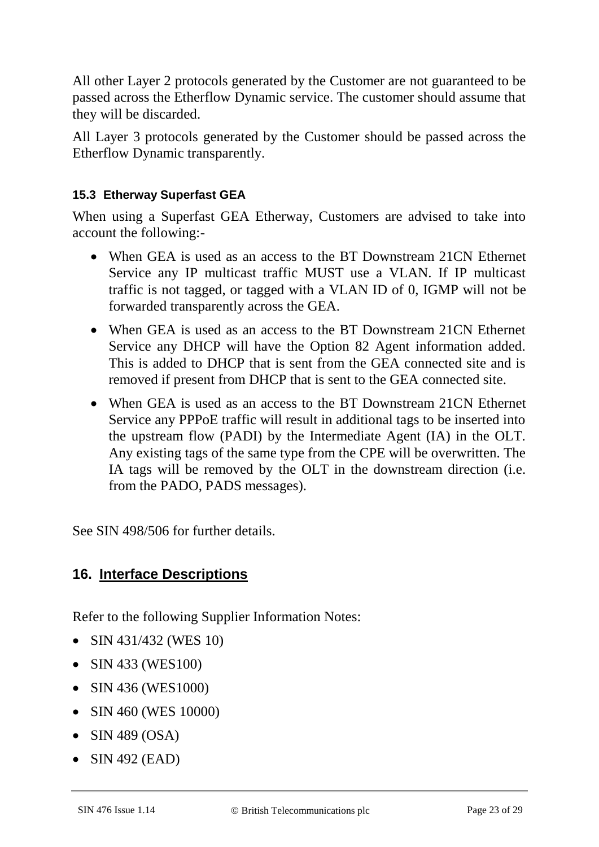All other Layer 2 protocols generated by the Customer are not guaranteed to be passed across the Etherflow Dynamic service. The customer should assume that they will be discarded.

All Layer 3 protocols generated by the Customer should be passed across the Etherflow Dynamic transparently.

#### **15.3 Etherway Superfast GEA**

When using a Superfast GEA Etherway, Customers are advised to take into account the following:-

- When GEA is used as an access to the BT Downstream 21CN Ethernet Service any IP multicast traffic MUST use a VLAN. If IP multicast traffic is not tagged, or tagged with a VLAN ID of 0, IGMP will not be forwarded transparently across the GEA.
- When GEA is used as an access to the BT Downstream 21CN Ethernet Service any DHCP will have the Option 82 Agent information added. This is added to DHCP that is sent from the GEA connected site and is removed if present from DHCP that is sent to the GEA connected site.
- When GEA is used as an access to the BT Downstream 21CN Ethernet Service any PPPoE traffic will result in additional tags to be inserted into the upstream flow (PADI) by the Intermediate Agent (IA) in the OLT. Any existing tags of the same type from the CPE will be overwritten. The IA tags will be removed by the OLT in the downstream direction (i.e. from the PADO, PADS messages).

See SIN 498/506 for further details.

### **16. Interface Descriptions**

Refer to the following Supplier Information Notes:

- SIN 431/432 (WES 10)
- SIN 433 (WES100)
- SIN 436 (WES1000)
- SIN 460 (WES 10000)
- $\bullet$  SIN 489 (OSA)
- $\bullet$  SIN 492 (EAD)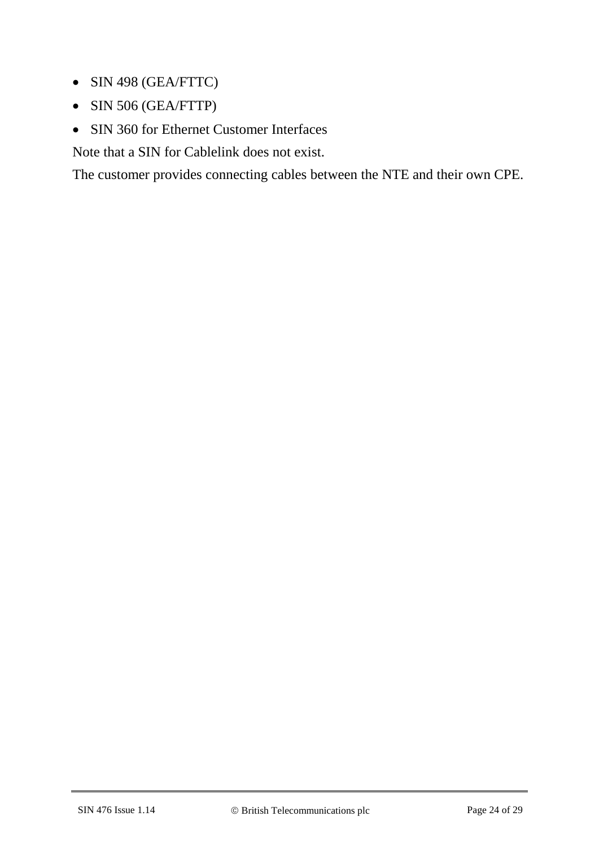- SIN 498 (GEA/FTTC)
- SIN 506 (GEA/FTTP)
- SIN 360 for Ethernet Customer Interfaces

Note that a SIN for Cablelink does not exist.

The customer provides connecting cables between the NTE and their own CPE.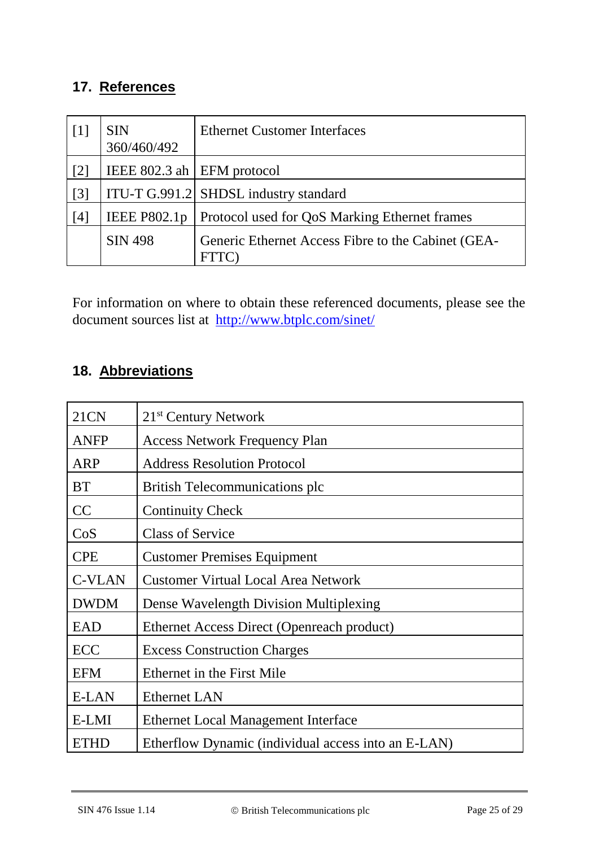## **17. References**

| $\lceil 1 \rceil$ | <b>SIN</b><br>360/460/492     | <b>Ethernet Customer Interfaces</b>                               |
|-------------------|-------------------------------|-------------------------------------------------------------------|
| $\lceil 2 \rceil$ | IEEE 802.3 ah $ EFM$ protocol |                                                                   |
| $\lceil 3 \rceil$ |                               | ITU-T G.991.2 SHDSL industry standard                             |
| [4]               | <b>IEEE P802.1p</b>           | Protocol used for QoS Marking Ethernet frames                     |
|                   | <b>SIN 498</b>                | Generic Ethernet Access Fibre to the Cabinet (GEA-<br><b>FTTC</b> |

For information on where to obtain these referenced documents, please see the document sources list at <http://www.btplc.com/sinet/>

## **18. Abbreviations**

| <b>21CN</b>   | 21 <sup>st</sup> Century Network                    |  |
|---------------|-----------------------------------------------------|--|
| <b>ANFP</b>   | <b>Access Network Frequency Plan</b>                |  |
| ARP           | <b>Address Resolution Protocol</b>                  |  |
| <b>BT</b>     | <b>British Telecommunications plc</b>               |  |
| CC            | <b>Continuity Check</b>                             |  |
| CoS           | <b>Class of Service</b>                             |  |
| <b>CPE</b>    | <b>Customer Premises Equipment</b>                  |  |
| <b>C-VLAN</b> | <b>Customer Virtual Local Area Network</b>          |  |
| <b>DWDM</b>   | Dense Wavelength Division Multiplexing              |  |
| EAD           | Ethernet Access Direct (Openreach product)          |  |
| ECC           | <b>Excess Construction Charges</b>                  |  |
| <b>EFM</b>    | Ethernet in the First Mile                          |  |
| <b>E-LAN</b>  | <b>Ethernet LAN</b>                                 |  |
| E-LMI         | <b>Ethernet Local Management Interface</b>          |  |
| <b>ETHD</b>   | Etherflow Dynamic (individual access into an E-LAN) |  |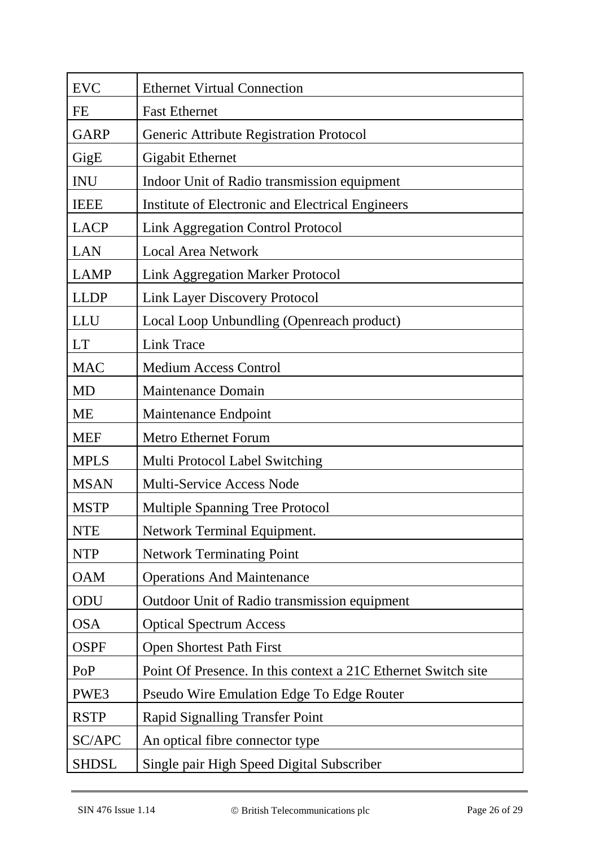| <b>EVC</b>   | <b>Ethernet Virtual Connection</b>                            |
|--------------|---------------------------------------------------------------|
| FE           | <b>Fast Ethernet</b>                                          |
| <b>GARP</b>  | Generic Attribute Registration Protocol                       |
| GigE         | <b>Gigabit Ethernet</b>                                       |
| <b>INU</b>   | Indoor Unit of Radio transmission equipment                   |
| <b>IEEE</b>  | Institute of Electronic and Electrical Engineers              |
| <b>LACP</b>  | <b>Link Aggregation Control Protocol</b>                      |
| LAN          | <b>Local Area Network</b>                                     |
| <b>LAMP</b>  | <b>Link Aggregation Marker Protocol</b>                       |
| <b>LLDP</b>  | <b>Link Layer Discovery Protocol</b>                          |
| LLU          | Local Loop Unbundling (Openreach product)                     |
| <b>LT</b>    | <b>Link Trace</b>                                             |
| <b>MAC</b>   | <b>Medium Access Control</b>                                  |
| <b>MD</b>    | <b>Maintenance Domain</b>                                     |
| <b>ME</b>    | Maintenance Endpoint                                          |
| <b>MEF</b>   | <b>Metro Ethernet Forum</b>                                   |
| <b>MPLS</b>  | Multi Protocol Label Switching                                |
| <b>MSAN</b>  | <b>Multi-Service Access Node</b>                              |
| <b>MSTP</b>  | <b>Multiple Spanning Tree Protocol</b>                        |
| <b>NTE</b>   | Network Terminal Equipment.                                   |
| <b>NTP</b>   | <b>Network Terminating Point</b>                              |
| <b>OAM</b>   | <b>Operations And Maintenance</b>                             |
| ODU          | Outdoor Unit of Radio transmission equipment                  |
| <b>OSA</b>   | <b>Optical Spectrum Access</b>                                |
| <b>OSPF</b>  | <b>Open Shortest Path First</b>                               |
| PoP          | Point Of Presence. In this context a 21C Ethernet Switch site |
| PWE3         | Pseudo Wire Emulation Edge To Edge Router                     |
| <b>RSTP</b>  | <b>Rapid Signalling Transfer Point</b>                        |
| SC/APC       | An optical fibre connector type                               |
| <b>SHDSL</b> | Single pair High Speed Digital Subscriber                     |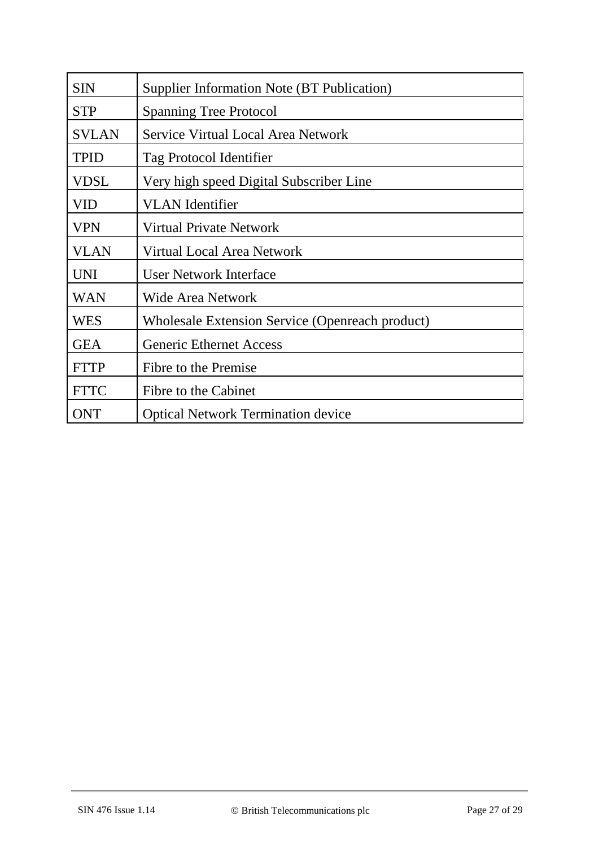| <b>SIN</b>   | Supplier Information Note (BT Publication)      |  |
|--------------|-------------------------------------------------|--|
| <b>STP</b>   | <b>Spanning Tree Protocol</b>                   |  |
| <b>SVLAN</b> | Service Virtual Local Area Network              |  |
| <b>TPID</b>  | Tag Protocol Identifier                         |  |
| <b>VDSL</b>  | Very high speed Digital Subscriber Line         |  |
| VID          | <b>VLAN</b> Identifier                          |  |
| <b>VPN</b>   | Virtual Private Network                         |  |
| <b>VLAN</b>  | <b>Virtual Local Area Network</b>               |  |
| <b>UNI</b>   | <b>User Network Interface</b>                   |  |
| <b>WAN</b>   | <b>Wide Area Network</b>                        |  |
| <b>WES</b>   | Wholesale Extension Service (Openreach product) |  |
| <b>GEA</b>   | <b>Generic Ethernet Access</b>                  |  |
| <b>FTTP</b>  | Fibre to the Premise                            |  |
| <b>FTTC</b>  | Fibre to the Cabinet                            |  |
| <b>ONT</b>   | <b>Optical Network Termination device</b>       |  |